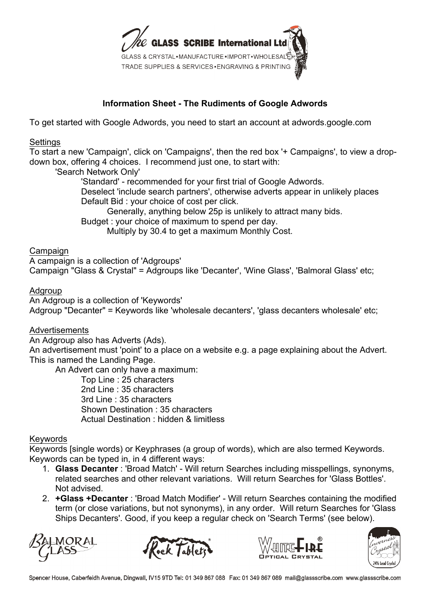

# **Information Sheet - The Rudiments of Google Adwords**

To get started with Google Adwords, you need to start an account at adwords.google.com

#### **Settings**

To start a new 'Campaign', click on 'Campaigns', then the red box '+ Campaigns', to view a dropdown box, offering 4 choices. I recommend just one, to start with:

'Search Network Only'

'Standard' - recommended for your first trial of Google Adwords. Deselect 'include search partners', otherwise adverts appear in unlikely places Default Bid : your choice of cost per click.

Generally, anything below 25p is unlikely to attract many bids.

Budget : your choice of maximum to spend per day.

Multiply by 30.4 to get a maximum Monthly Cost.

#### Campaign

A campaign is a collection of 'Adgroups' Campaign "Glass & Crystal" = Adgroups like 'Decanter', 'Wine Glass', 'Balmoral Glass' etc;

#### Adgroup

An Adgroup is a collection of 'Keywords' Adgroup "Decanter" = Keywords like 'wholesale decanters', 'glass decanters wholesale' etc;

#### Advertisements

An Adgroup also has Adverts (Ads).

An advertisement must 'point' to a place on a website e.g. a page explaining about the Advert. This is named the Landing Page.

An Advert can only have a maximum:

Top Line : 25 characters 2nd Line : 35 characters 3rd Line : 35 characters Shown Destination : 35 characters Actual Destination : hidden & limitless

#### Keywords

Keywords [single words) or Keyphrases (a group of words), which are also termed Keywords. Keywords can be typed in, in 4 different ways:

- 1. **Glass Decanter** : 'Broad Match' Will return Searches including misspellings, synonyms, related searches and other relevant variations. Will return Searches for 'Glass Bottles'. Not advised.
- 2. **+Glass +Decanter** : 'Broad Match Modifier' Will return Searches containing the modified term (or close variations, but not synonyms), in any order. Will return Searches for 'Glass Ships Decanters'. Good, if you keep a regular check on 'Search Terms' (see below).







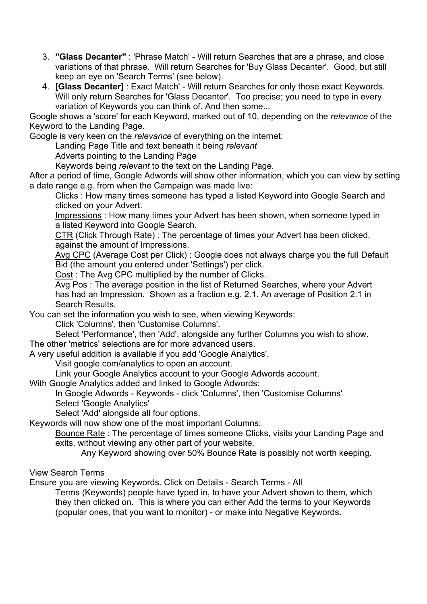- 3. **"Glass Decanter"** : 'Phrase Match' Will return Searches that are a phrase, and close variations of that phrase. Will return Searches for 'Buy Glass Decanter'. Good, but still keep an eye on 'Search Terms' (see below).
- 4. **[Glass Decanter]** : Exact Match' Will return Searches for only those exact Keywords. Will only return Searches for 'Glass Decanter'. Too precise; you need to type in every variation of Keywords you can think of. And then some...

Google shows a 'score' for each Keyword, marked out of 10, depending on the *relevance* of the Keyword to the Landing Page.

Google is very keen on the *relevance* of everything on the internet:

Landing Page Title and text beneath it being *relevant*

Adverts pointing to the Landing Page

Keywords being *relevant* to the text on the Landing Page.

After a period of time, Google Adwords will show other information, which you can view by setting a date range e.g. from when the Campaign was made live:

Clicks : How many times someone has typed a listed Keyword into Google Search and clicked on your Advert.

Impressions : How many times your Advert has been shown, when someone typed in a listed Keyword into Google Search.

CTR (Click Through Rate) : The percentage of times your Advert has been clicked, against the amount of Impressions.

Avg CPC (Average Cost per Click) : Google does not always charge you the full Default Bid (the amount you entered under 'Settings') per click.

Cost : The Avg CPC multiplied by the number of Clicks.

Avg Pos : The average position in the list of Returned Searches, where your Advert has had an Impression. Shown as a fraction e.g. 2.1. An average of Position 2.1 in Search Results.

You can set the information you wish to see, when viewing Keywords:

Click 'Columns', then 'Customise Columns'.

Select 'Performance', then 'Add', alongside any further Columns you wish to show. The other 'metrics' selections are for more advanced users.

A very useful addition is available if you add 'Google Analytics'.

Visit google.com/analytics to open an account.

Link your Google Analytics account to your Google Adwords account.

With Google Analytics added and linked to Google Adwords:

In Google Adwords - Keywords - click 'Columns', then 'Customise Columns' Select 'Google Analytics'

Select 'Add' alongside all four options.

Keywords will now show one of the most important Columns:

Bounce Rate : The percentage of times someone Clicks, visits your Landing Page and exits, without viewing any other part of your website.

Any Keyword showing over 50% Bounce Rate is possibly not worth keeping.

## View Search Terms

Ensure you are viewing Keywords. Click on Details - Search Terms - All

Terms (Keywords) people have typed in, to have your Advert shown to them, which they then clicked on. This is where you can either Add the terms to your Keywords (popular ones, that you want to monitor) - or make into Negative Keywords.